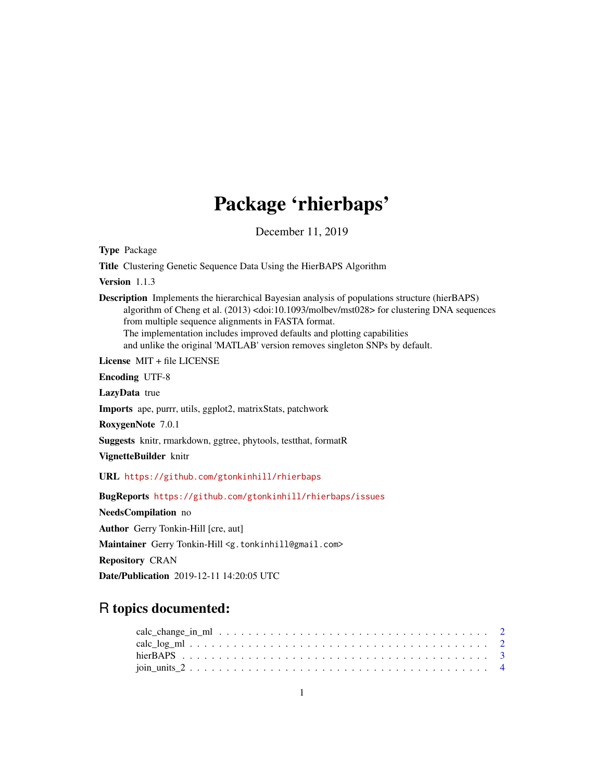## Package 'rhierbaps'

December 11, 2019

Type Package

Title Clustering Genetic Sequence Data Using the HierBAPS Algorithm

Version 1.1.3

Description Implements the hierarchical Bayesian analysis of populations structure (hierBAPS) algorithm of Cheng et al. (2013) <doi:10.1093/molbev/mst028> for clustering DNA sequences from multiple sequence alignments in FASTA format. The implementation includes improved defaults and plotting capabilities and unlike the original 'MATLAB' version removes singleton SNPs by default.

License MIT + file LICENSE

Encoding UTF-8

LazyData true

Imports ape, purrr, utils, ggplot2, matrixStats, patchwork

RoxygenNote 7.0.1

Suggests knitr, rmarkdown, ggtree, phytools, testthat, formatR

VignetteBuilder knitr

URL <https://github.com/gtonkinhill/rhierbaps>

BugReports <https://github.com/gtonkinhill/rhierbaps/issues>

NeedsCompilation no

Author Gerry Tonkin-Hill [cre, aut]

Maintainer Gerry Tonkin-Hill <g.tonkinhill@gmail.com>

Repository CRAN

Date/Publication 2019-12-11 14:20:05 UTC

### R topics documented: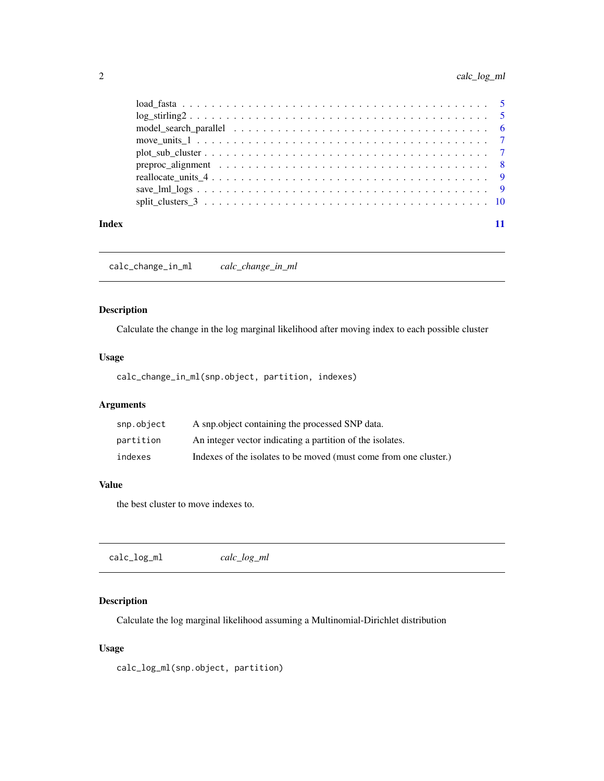<span id="page-1-0"></span>

| Index |  |
|-------|--|

calc\_change\_in\_ml *calc\_change\_in\_ml*

#### Description

Calculate the change in the log marginal likelihood after moving index to each possible cluster

#### Usage

calc\_change\_in\_ml(snp.object, partition, indexes)

#### Arguments

| snp.object | A snp. object containing the processed SNP data.                  |
|------------|-------------------------------------------------------------------|
| partition  | An integer vector indicating a partition of the isolates.         |
| indexes    | Indexes of the isolates to be moved (must come from one cluster.) |

#### Value

the best cluster to move indexes to.

|--|

#### Description

Calculate the log marginal likelihood assuming a Multinomial-Dirichlet distribution

#### Usage

calc\_log\_ml(snp.object, partition)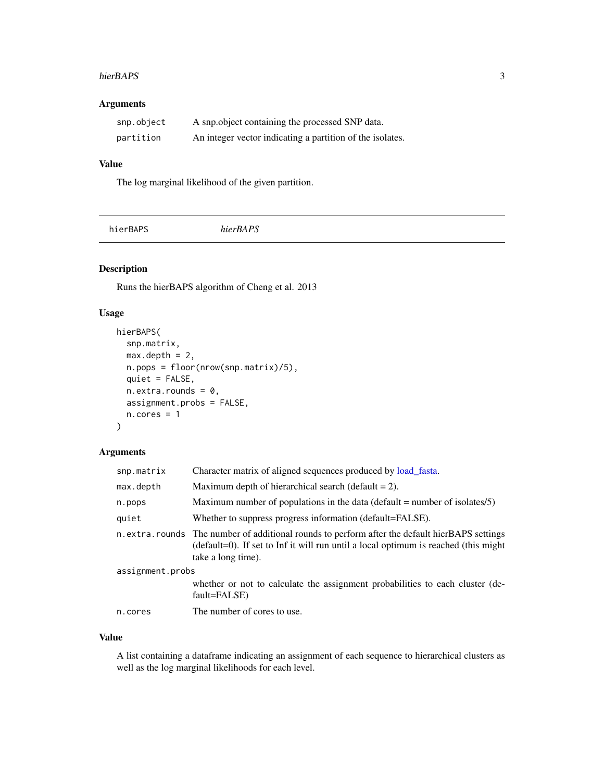#### <span id="page-2-0"></span>hierBAPS 3

#### Arguments

| snp.object | A snp.object containing the processed SNP data.           |
|------------|-----------------------------------------------------------|
| partition  | An integer vector indicating a partition of the isolates. |

#### Value

The log marginal likelihood of the given partition.

#### Description

Runs the hierBAPS algorithm of Cheng et al. 2013

#### Usage

```
hierBAPS(
  snp.matrix,
 max.depth = 2,
 n.pops = floor(nrow(snp.matrix)/5),
 quiet = FALSE,
 n. extra.rounds = 0,assignment.probs = FALSE,
 n.cores = 1)
```
#### Arguments

| snp.matrix       | Character matrix of aligned sequences produced by load_fasta.                                                                                                                                                |  |
|------------------|--------------------------------------------------------------------------------------------------------------------------------------------------------------------------------------------------------------|--|
| max.depth        | Maximum depth of hierarchical search (default $= 2$ ).                                                                                                                                                       |  |
| n.pops           | Maximum number of populations in the data (default $=$ number of isolates/5)                                                                                                                                 |  |
| quiet            | Whether to suppress progress information (default=FALSE).                                                                                                                                                    |  |
|                  | n. extra. rounds The number of additional rounds to perform after the default hierBAPS settings<br>(default=0). If set to Inf it will run until a local optimum is reached (this might<br>take a long time). |  |
| assignment.probs |                                                                                                                                                                                                              |  |
|                  | whether or not to calculate the assignment probabilities to each cluster (de-<br>fault=FALSE)                                                                                                                |  |
| n.cores          | The number of cores to use.                                                                                                                                                                                  |  |
|                  |                                                                                                                                                                                                              |  |

#### Value

A list containing a dataframe indicating an assignment of each sequence to hierarchical clusters as well as the log marginal likelihoods for each level.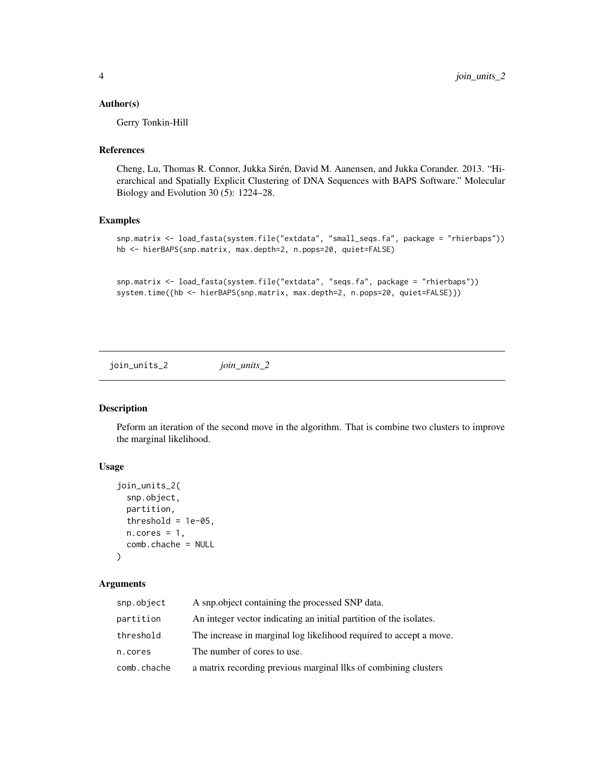#### <span id="page-3-0"></span>Author(s)

Gerry Tonkin-Hill

#### References

Cheng, Lu, Thomas R. Connor, Jukka Sirén, David M. Aanensen, and Jukka Corander. 2013. "Hierarchical and Spatially Explicit Clustering of DNA Sequences with BAPS Software." Molecular Biology and Evolution 30 (5): 1224–28.

#### Examples

```
snp.matrix <- load_fasta(system.file("extdata", "small_seqs.fa", package = "rhierbaps"))
hb <- hierBAPS(snp.matrix, max.depth=2, n.pops=20, quiet=FALSE)
```

```
snp.matrix <- load_fasta(system.file("extdata", "seqs.fa", package = "rhierbaps"))
system.time({hb <- hierBAPS(snp.matrix, max.depth=2, n.pops=20, quiet=FALSE)})
```
join\_units\_2 *join\_units\_2*

#### Description

Peform an iteration of the second move in the algorithm. That is combine two clusters to improve the marginal likelihood.

#### Usage

```
join_units_2(
 snp.object,
 partition,
  threshold = 1e-05,
 n.core = 1,
  comb.chache = NULL
\lambda
```
#### Arguments

| snp.object  | A snp. object containing the processed SNP data.                   |
|-------------|--------------------------------------------------------------------|
| partition   | An integer vector indicating an initial partition of the isolates. |
| threshold   | The increase in marginal log likelihood required to accept a move. |
| n.cores     | The number of cores to use.                                        |
| comb.chache | a matrix recording previous marginal llks of combining clusters    |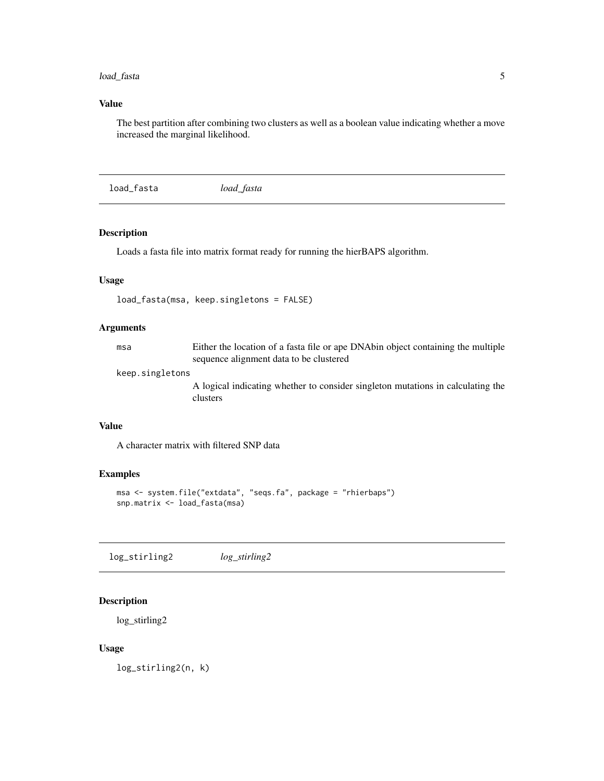#### <span id="page-4-0"></span>load\_fasta 5

#### Value

The best partition after combining two clusters as well as a boolean value indicating whether a move increased the marginal likelihood.

<span id="page-4-1"></span>load\_fasta *load\_fasta*

#### Description

Loads a fasta file into matrix format ready for running the hierBAPS algorithm.

#### Usage

```
load_fasta(msa, keep.singletons = FALSE)
```
#### Arguments

| msa | Either the location of a fasta file or ape DNAbin object containing the multiple |
|-----|----------------------------------------------------------------------------------|
|     | sequence alignment data to be clustered                                          |

#### keep.singletons

A logical indicating whether to consider singleton mutations in calculating the clusters

#### Value

A character matrix with filtered SNP data

#### Examples

```
msa <- system.file("extdata", "seqs.fa", package = "rhierbaps")
snp.matrix <- load_fasta(msa)
```
log\_stirling2 *log\_stirling2*

#### Description

log\_stirling2

#### Usage

log\_stirling2(n, k)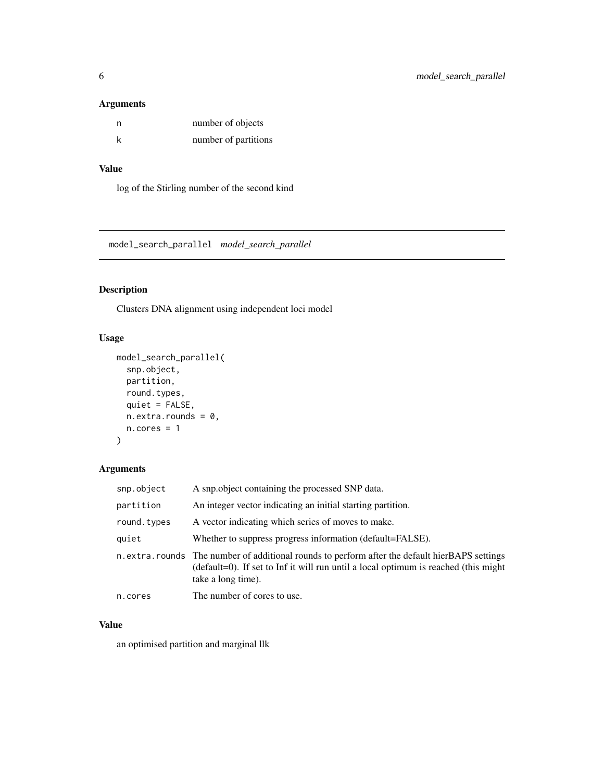#### <span id="page-5-0"></span>Arguments

| n | number of objects    |
|---|----------------------|
| k | number of partitions |

#### Value

log of the Stirling number of the second kind

model\_search\_parallel *model\_search\_parallel*

#### Description

Clusters DNA alignment using independent loci model

#### Usage

```
model_search_parallel(
  snp.object,
 partition,
 round.types,
 quiet = FALSE,
 n. extra. rounds = 0,n.core = 1
)
```
#### Arguments

| snp.object  | A snp.object containing the processed SNP data.                                                                                                                                                            |
|-------------|------------------------------------------------------------------------------------------------------------------------------------------------------------------------------------------------------------|
| partition   | An integer vector indicating an initial starting partition.                                                                                                                                                |
| round.types | A vector indicating which series of moves to make.                                                                                                                                                         |
| quiet       | Whether to suppress progress information (default=FALSE).                                                                                                                                                  |
|             | n.extra.rounds The number of additional rounds to perform after the default hierBAPS settings<br>(default=0). If set to Inf it will run until a local optimum is reached (this might<br>take a long time). |
| n.cores     | The number of cores to use.                                                                                                                                                                                |

#### Value

an optimised partition and marginal llk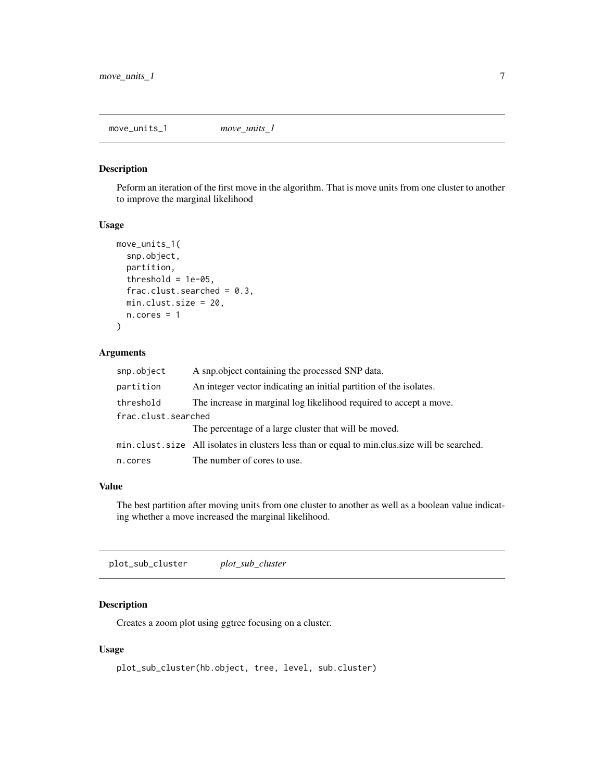<span id="page-6-0"></span>move\_units\_1 *move\_units\_1*

#### Description

Peform an iteration of the first move in the algorithm. That is move units from one cluster to another to improve the marginal likelihood

#### Usage

```
move_units_1(
  snp.object,
 partition,
  threshold = 1e-05,
  frac.clust.searched = 0.3,
 min.clust.size = 20,
  n.core = 1
)
```
#### Arguments

| snp.object          | A snp.object containing the processed SNP data.                                               |  |
|---------------------|-----------------------------------------------------------------------------------------------|--|
| partition           | An integer vector indicating an initial partition of the isolates.                            |  |
| threshold           | The increase in marginal log likelihood required to accept a move.                            |  |
| frac.clust.searched |                                                                                               |  |
|                     | The percentage of a large cluster that will be moved.                                         |  |
|                     | min.clust.size All isolates in clusters less than or equal to min.clus.size will be searched. |  |
| n.cores             | The number of cores to use.                                                                   |  |

#### Value

The best partition after moving units from one cluster to another as well as a boolean value indicating whether a move increased the marginal likelihood.

plot\_sub\_cluster *plot\_sub\_cluster*

#### Description

Creates a zoom plot using ggtree focusing on a cluster.

#### Usage

```
plot_sub_cluster(hb.object, tree, level, sub.cluster)
```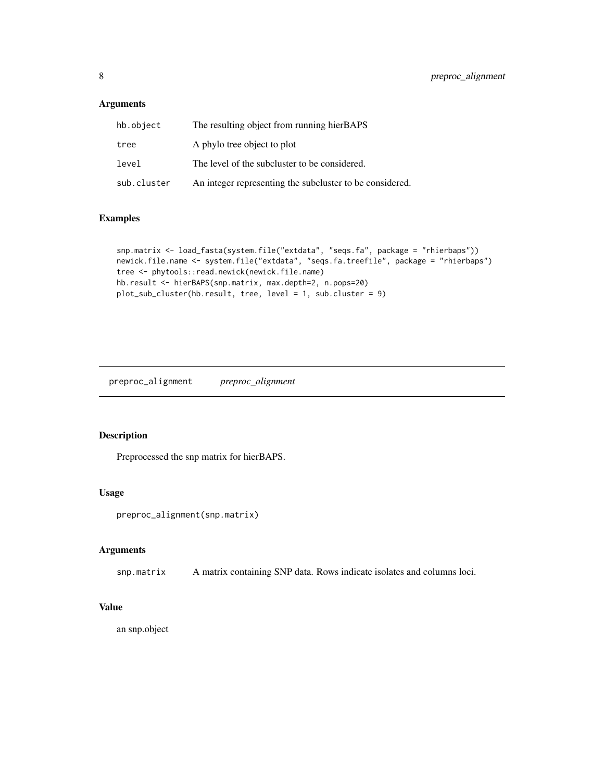#### <span id="page-7-0"></span>Arguments

| hb.object   | The resulting object from running hierBAPS               |
|-------------|----------------------------------------------------------|
| tree        | A phylo tree object to plot                              |
| level       | The level of the subcluster to be considered.            |
| sub.cluster | An integer representing the subcluster to be considered. |

#### Examples

```
snp.matrix <- load_fasta(system.file("extdata", "seqs.fa", package = "rhierbaps"))
newick.file.name <- system.file("extdata", "seqs.fa.treefile", package = "rhierbaps")
tree <- phytools::read.newick(newick.file.name)
hb.result <- hierBAPS(snp.matrix, max.depth=2, n.pops=20)
plot_sub_cluster(hb.result, tree, level = 1, sub.cluster = 9)
```
preproc\_alignment *preproc\_alignment*

#### Description

Preprocessed the snp matrix for hierBAPS.

#### Usage

```
preproc_alignment(snp.matrix)
```
#### Arguments

snp.matrix A matrix containing SNP data. Rows indicate isolates and columns loci.

#### Value

an snp.object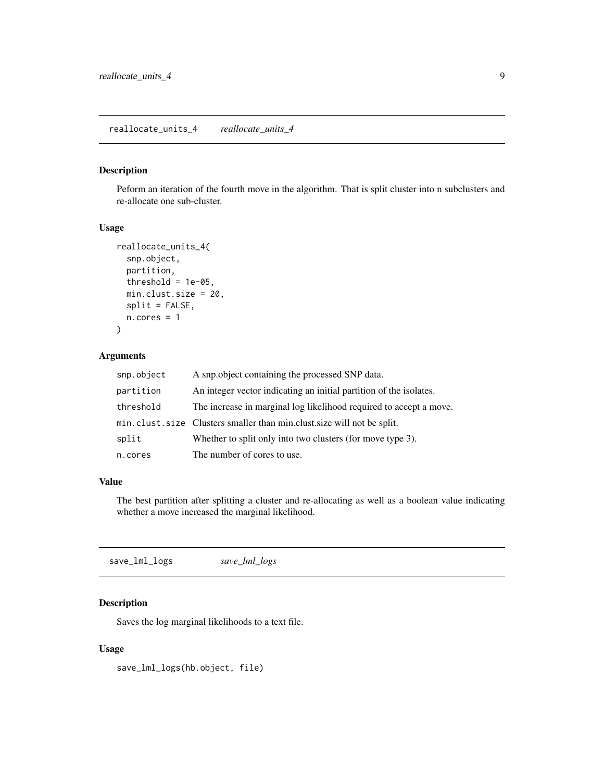#### <span id="page-8-0"></span>Description

Peform an iteration of the fourth move in the algorithm. That is split cluster into n subclusters and re-allocate one sub-cluster.

#### Usage

```
reallocate_units_4(
  snp.object,
 partition,
  threshold = 1e-05,
 min.clust.size = 20,
 split = FALSE,
 n.core = 1
)
```
#### Arguments

| snp.object | A snp.object containing the processed SNP data.                        |
|------------|------------------------------------------------------------------------|
| partition  | An integer vector indicating an initial partition of the isolates.     |
| threshold  | The increase in marginal log likelihood required to accept a move.     |
|            | min.clust.size Clusters smaller than min.clust.size will not be split. |
| split      | Whether to split only into two clusters (for move type 3).             |
| n.cores    | The number of cores to use.                                            |

#### Value

The best partition after splitting a cluster and re-allocating as well as a boolean value indicating whether a move increased the marginal likelihood.

save\_lml\_logs *save\_lml\_logs*

#### Description

Saves the log marginal likelihoods to a text file.

#### Usage

save\_lml\_logs(hb.object, file)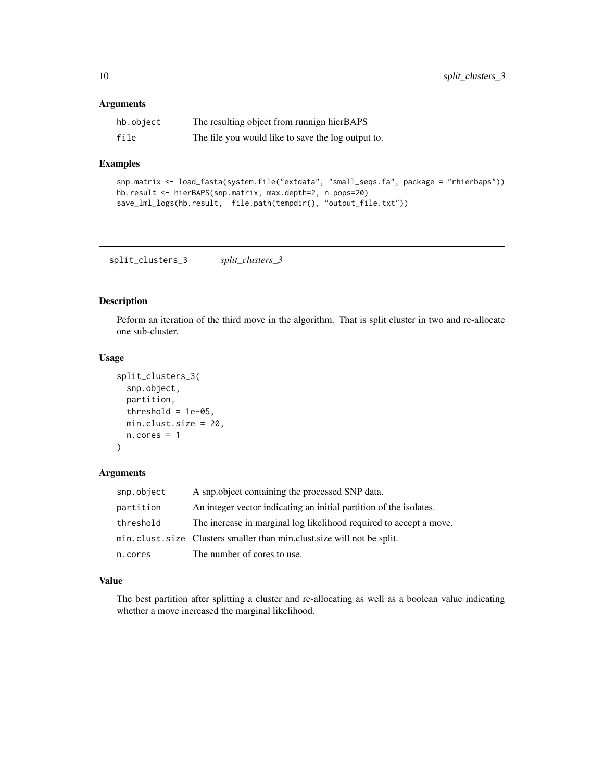#### <span id="page-9-0"></span>Arguments

| hb.object | The resulting object from runnign hierBAPS         |
|-----------|----------------------------------------------------|
| file      | The file you would like to save the log output to. |

#### Examples

```
snp.matrix <- load_fasta(system.file("extdata", "small_seqs.fa", package = "rhierbaps"))
hb.result <- hierBAPS(snp.matrix, max.depth=2, n.pops=20)
save_lml_logs(hb.result, file.path(tempdir(), "output_file.txt"))
```
split\_clusters\_3 *split\_clusters\_3*

#### Description

Peform an iteration of the third move in the algorithm. That is split cluster in two and re-allocate one sub-cluster.

#### Usage

```
split_clusters_3(
  snp.object,
 partition,
  threshold = 1e-05,
 min.clust.size = 20,
 n.cores = 1)
```
#### Arguments

| snp.object | A snp. object containing the processed SNP data.                       |
|------------|------------------------------------------------------------------------|
| partition  | An integer vector indicating an initial partition of the isolates.     |
| threshold  | The increase in marginal log likelihood required to accept a move.     |
|            | min.clust.size Clusters smaller than min.clust.size will not be split. |
| n.cores    | The number of cores to use.                                            |

#### Value

The best partition after splitting a cluster and re-allocating as well as a boolean value indicating whether a move increased the marginal likelihood.